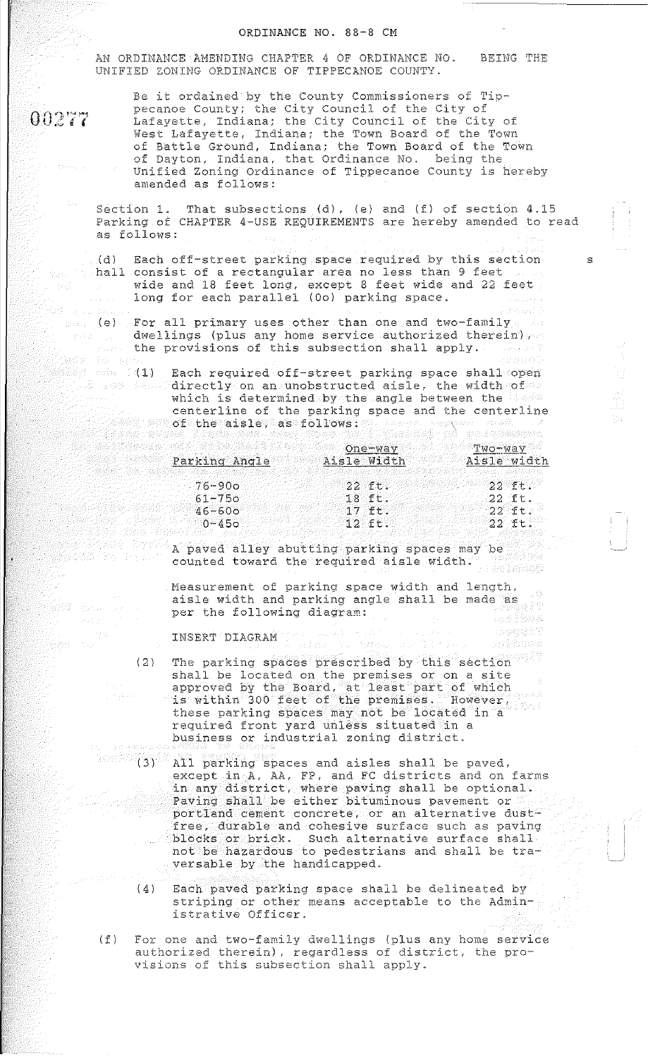## ORDINANCE NO. 88-8 CM

AN ORDINANCE AMENDING CHAPTER 4 OF ORDINANCE NO. UNIFIED ZONING ORDINANCE OF TIPPECANOE COUNT'Y. BEING THE

 $00277$ 

 $\mathcal{L}_{\rm{tot}}$ 

ist d

en 1999

and and a

-<br>最後は - さん

Be it ordained by the County Commissioners of Tippecanoe County; the City Council of the City of Lafayette, Indiana; the City Council of the City of West Lafayette, Indiana; the Town Board of the Town of Battle Ground, Indiana; the Town Board of the Town of Dayton, Indiana, that Ordinance No. being the Unified Zoning Ordinance of Tippecanoe County is hereby amended as follows:

- Section 1. That subsections (d), (e) and (f) of section 4.15 Parking of CHAPTER 4-USE REQUIREMENTS are hereby amended to read as follows:
- $_{\odot}$ (d) Each off-street parking space required by this section s  $\gamma_{\text{max}}$  hall consist of a rectangular area no less than 9 feet wide and 18 feet long, except 8 feet wide and 22 feet long for each parallel (Oo) parking space.
	- some (e) For all primary uses other than one and two-family.  $-dwellings$  (plus any home service authorized therein)  $r \geq$  $\mathbb{R}^n$  the provisions of this subsection shall apply. A second
	- (1) Each required off-street parking space shall open . I and  $\ell$  and  $\texttt{directly}$  on an unobstructed aisle, the width of  $\ell$ which is determined by the angle between the limit centerline of the parking space and the centerline  $\mathcal{E}^{\text{max}}$  the aisle, as follows:  $\mathcal{E}^{\text{max}}$  the series of the  $\mathcal{E}$

|               | One-way     | $Two-way$   |
|---------------|-------------|-------------|
| Parking Angle | Aisle Width | Aisle width |
|               |             |             |
| $76 - 900$    | つつ イモー      | -22 ft.     |
| $61 - 750$    | 18.51       | -22 ft.     |
| $46 - 600$    | $-1.7$ ft.  | - 22 - チモン  |
| $0 - 450$     | -12 ft.     | - 22 Ft.    |

A paved alley abutting parking spaces may be a parking spaces of  $\sim$ counted toward the required aisle width. ) de l'enner

> Measurement of parking space width and length, aisle width and parking angle shall be made as per the following diagram: un é Pôppe

> > 设计会部设施站

INSERT DIAGRAM

- (2) The parking spaces prescribed by this section shall be located on the premises or on a site approved by the Board, at least part of which is within 300 feet of the premises. However, these parking spaces may not be located in a required front yard unless situated in a business or industrial zoning district.
- $(3)$  All parking spaces and aisles shall be paved. except in A, AA, FP, and FC districts and on farms in any district, where paving shall be optional. Paving shall be either bituminous pavement or portland cement concrete, or an alternative dustfree, durable and cohesive surface such as paving blocks or brick. Such alternative surface shall not be hazardous to pedestrians and shall be traversable by the handicapped.
	- (4) Each paved parking space shall be delineated by striping or other means acceptable to the Administrative Officer.
- (f) For one and two-family dwellings (plus any home service authorized therein), regardless of district, the provisions of this subsection shall apply.